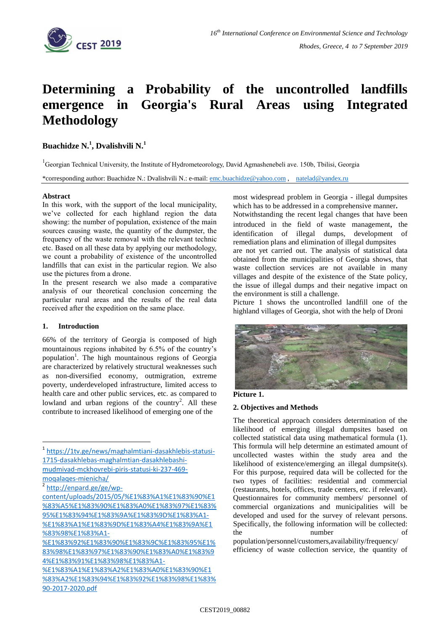

# **Determining a Probability of the uncontrolled landfills emergence in Georgia's Rural Areas using Integrated Methodology**

## **Buachidze N.<sup>1</sup> , Dvalishvili N.<sup>1</sup>**

<sup>1</sup>Georgian Technical University, the Institute of Hydrometeorology, David Agmashenebeli ave. 150b, Tbilisi, Georgia

\*corresponding author: Buachidze N.: Dvalishvili N.: e-mail: [emc.buachidze@yahoo.com](mailto:emc.buachidze@yahoo.com) , [natelad@yandex.ru](mailto:natelad@yandex.ru)

#### **Abstract**

In this work, with the support of the local municipality, we've collected for each highland region the data showing: the number of population, existence of the main sources causing waste, the quantity of the dumpster, the frequency of the waste removal with the relevant technic etc. Based on all these data by applying our methodology, we count a probability of existence of the uncontrolled landfills that can exist in the particular region. We also use the pictures from a drone.

In the present research we also made a comparative analysis of our theoretical conclusion concerning the particular rural areas and the results of the real data received after the expedition on the same place.

## **1. Introduction**

66% of the territory of Georgia is composed of high mountainous regions inhabited by 6.5% of the country's population<sup>1</sup>. The high mountainous regions of Georgia are characterized by relatively structural weaknesses such as non-diversified economy, outmigration, extreme poverty, underdeveloped infrastructure, limited access to health care and other public services, etc. as compared to lowland and urban regions of the country<sup>2</sup>. All these contribute to increased likelihood of emerging one of the

1 [https://1tv.ge/news/maghalmtiani-dasakhlebis-statusi-](https://1tv.ge/news/maghalmtiani-dasakhlebis-statusi-1715-dasakhlebas-maghalmtian-dasakhlebashi-mudmivad-mckhovrebi-piris-statusi-ki-237-469-moqalaqes-mienicha/)[1715-dasakhlebas-maghalmtian-dasakhlebashi](https://1tv.ge/news/maghalmtiani-dasakhlebis-statusi-1715-dasakhlebas-maghalmtian-dasakhlebashi-mudmivad-mckhovrebi-piris-statusi-ki-237-469-moqalaqes-mienicha/)[mudmivad-mckhovrebi-piris-statusi-ki-237-469](https://1tv.ge/news/maghalmtiani-dasakhlebis-statusi-1715-dasakhlebas-maghalmtian-dasakhlebashi-mudmivad-mckhovrebi-piris-statusi-ki-237-469-moqalaqes-mienicha/) [moqalaqes-mienicha/](https://1tv.ge/news/maghalmtiani-dasakhlebis-statusi-1715-dasakhlebas-maghalmtian-dasakhlebashi-mudmivad-mckhovrebi-piris-statusi-ki-237-469-moqalaqes-mienicha/)

<sup>2</sup> [http://enpard.ge/ge/wp-](http://enpard.ge/ge/wp-content/uploads/2015/05/%E1%83%A1%E1%83%90%E1%83%A5%E1%83%90%E1%83%A0%E1%83%97%E1%83%95%E1%83%94%E1%83%9A%E1%83%9D%E1%83%A1-%E1%83%A1%E1%83%9D%E1%83%A4%E1%83%9A%E1%83%98%E1%83%A1-%E1%83%92%E1%83%90%E1%83%9C%E1%83%95%E1%83%98%E1%83%97)

<u>.</u>

[content/uploads/2015/05/%E1%83%A1%E1%83%90%E1](http://enpard.ge/ge/wp-content/uploads/2015/05/%E1%83%A1%E1%83%90%E1%83%A5%E1%83%90%E1%83%A0%E1%83%97%E1%83%95%E1%83%94%E1%83%9A%E1%83%9D%E1%83%A1-%E1%83%A1%E1%83%9D%E1%83%A4%E1%83%9A%E1%83%98%E1%83%A1-%E1%83%92%E1%83%90%E1%83%9C%E1%83%95%E1%83%98%E1%83%97) [%83%A5%E1%83%90%E1%83%A0%E1%83%97%E1%83%](http://enpard.ge/ge/wp-content/uploads/2015/05/%E1%83%A1%E1%83%90%E1%83%A5%E1%83%90%E1%83%A0%E1%83%97%E1%83%95%E1%83%94%E1%83%9A%E1%83%9D%E1%83%A1-%E1%83%A1%E1%83%9D%E1%83%A4%E1%83%9A%E1%83%98%E1%83%A1-%E1%83%92%E1%83%90%E1%83%9C%E1%83%95%E1%83%98%E1%83%97) [95%E1%83%94%E1%83%9A%E1%83%9D%E1%83%A1-](http://enpard.ge/ge/wp-content/uploads/2015/05/%E1%83%A1%E1%83%90%E1%83%A5%E1%83%90%E1%83%A0%E1%83%97%E1%83%95%E1%83%94%E1%83%9A%E1%83%9D%E1%83%A1-%E1%83%A1%E1%83%9D%E1%83%A4%E1%83%9A%E1%83%98%E1%83%A1-%E1%83%92%E1%83%90%E1%83%9C%E1%83%95%E1%83%98%E1%83%97) [%E1%83%A1%E1%83%9D%E1%83%A4%E1%83%9A%E1](http://enpard.ge/ge/wp-content/uploads/2015/05/%E1%83%A1%E1%83%90%E1%83%A5%E1%83%90%E1%83%A0%E1%83%97%E1%83%95%E1%83%94%E1%83%9A%E1%83%9D%E1%83%A1-%E1%83%A1%E1%83%9D%E1%83%A4%E1%83%9A%E1%83%98%E1%83%A1-%E1%83%92%E1%83%90%E1%83%9C%E1%83%95%E1%83%98%E1%83%97) [%83%98%E1%83%A1-](http://enpard.ge/ge/wp-content/uploads/2015/05/%E1%83%A1%E1%83%90%E1%83%A5%E1%83%90%E1%83%A0%E1%83%97%E1%83%95%E1%83%94%E1%83%9A%E1%83%9D%E1%83%A1-%E1%83%A1%E1%83%9D%E1%83%A4%E1%83%9A%E1%83%98%E1%83%A1-%E1%83%92%E1%83%90%E1%83%9C%E1%83%95%E1%83%98%E1%83%97)

[%E1%83%92%E1%83%90%E1%83%9C%E1%83%95%E1%](http://enpard.ge/ge/wp-content/uploads/2015/05/%E1%83%A1%E1%83%90%E1%83%A5%E1%83%90%E1%83%A0%E1%83%97%E1%83%95%E1%83%94%E1%83%9A%E1%83%9D%E1%83%A1-%E1%83%A1%E1%83%9D%E1%83%A4%E1%83%9A%E1%83%98%E1%83%A1-%E1%83%92%E1%83%90%E1%83%9C%E1%83%95%E1%83%98%E1%83%97) [83%98%E1%83%97%E1%83%90%E1%83%A0%E1%83%9](http://enpard.ge/ge/wp-content/uploads/2015/05/%E1%83%A1%E1%83%90%E1%83%A5%E1%83%90%E1%83%A0%E1%83%97%E1%83%95%E1%83%94%E1%83%9A%E1%83%9D%E1%83%A1-%E1%83%A1%E1%83%9D%E1%83%A4%E1%83%9A%E1%83%98%E1%83%A1-%E1%83%92%E1%83%90%E1%83%9C%E1%83%95%E1%83%98%E1%83%97) [4%E1%83%91%E1%83%98%E1%83%A1-](http://enpard.ge/ge/wp-content/uploads/2015/05/%E1%83%A1%E1%83%90%E1%83%A5%E1%83%90%E1%83%A0%E1%83%97%E1%83%95%E1%83%94%E1%83%9A%E1%83%9D%E1%83%A1-%E1%83%A1%E1%83%9D%E1%83%A4%E1%83%9A%E1%83%98%E1%83%A1-%E1%83%92%E1%83%90%E1%83%9C%E1%83%95%E1%83%98%E1%83%97)

[%E1%83%A1%E1%83%A2%E1%83%A0%E1%83%90%E1](http://enpard.ge/ge/wp-content/uploads/2015/05/%E1%83%A1%E1%83%90%E1%83%A5%E1%83%90%E1%83%A0%E1%83%97%E1%83%95%E1%83%94%E1%83%9A%E1%83%9D%E1%83%A1-%E1%83%A1%E1%83%9D%E1%83%A4%E1%83%9A%E1%83%98%E1%83%A1-%E1%83%92%E1%83%90%E1%83%9C%E1%83%95%E1%83%98%E1%83%97) [%83%A2%E1%83%94%E1%83%92%E1%83%98%E1%83%](http://enpard.ge/ge/wp-content/uploads/2015/05/%E1%83%A1%E1%83%90%E1%83%A5%E1%83%90%E1%83%A0%E1%83%97%E1%83%95%E1%83%94%E1%83%9A%E1%83%9D%E1%83%A1-%E1%83%A1%E1%83%9D%E1%83%A4%E1%83%9A%E1%83%98%E1%83%A1-%E1%83%92%E1%83%90%E1%83%9C%E1%83%95%E1%83%98%E1%83%97) [90-2017-2020.pdf](http://enpard.ge/ge/wp-content/uploads/2015/05/%E1%83%A1%E1%83%90%E1%83%A5%E1%83%90%E1%83%A0%E1%83%97%E1%83%95%E1%83%94%E1%83%9A%E1%83%9D%E1%83%A1-%E1%83%A1%E1%83%9D%E1%83%A4%E1%83%9A%E1%83%98%E1%83%A1-%E1%83%92%E1%83%90%E1%83%9C%E1%83%95%E1%83%98%E1%83%97)

most widespread problem in Georgia - illegal dumpsites which has to be addressed in a comprehensive manner**.**

Notwithstanding the recent legal changes that have been introduced in the field of waste management, the identification of illegal dumps, development of remediation plans and elimination of illegal dumpsites are not yet carried out. The analysis of statistical data obtained from the municipalities of Georgia shows, that waste collection services are not available in many villages and despite of the existence of the State policy, the issue of illegal dumps and their negative impact on the environment is still a challenge.

Picture 1 shows the uncontrolled landfill one of the highland villages of Georgia, shot with the help of Droni



**Picture 1.**

## **2. Objectives and Methods**

The theoretical approach considers determination of the likelihood of emerging illegal dumpsites based on collected statistical data using mathematical formula (1). This formula will help determine an estimated amount of uncollected wastes within the study area and the likelihood of existence/emerging an illegal dumpsite(s). For this purpose, required data will be collected for the two types of facilities: residential and commercial (restaurants, hotels, offices, trade centers, etc. if relevant). Questionnaires for community members/ personnel of commercial organizations and municipalities will be developed and used for the survey of relevant persons. Specifically, the following information will be collected: the number population/personnel/customers,availability/frequency/ efficiency of waste collection service, the quantity of